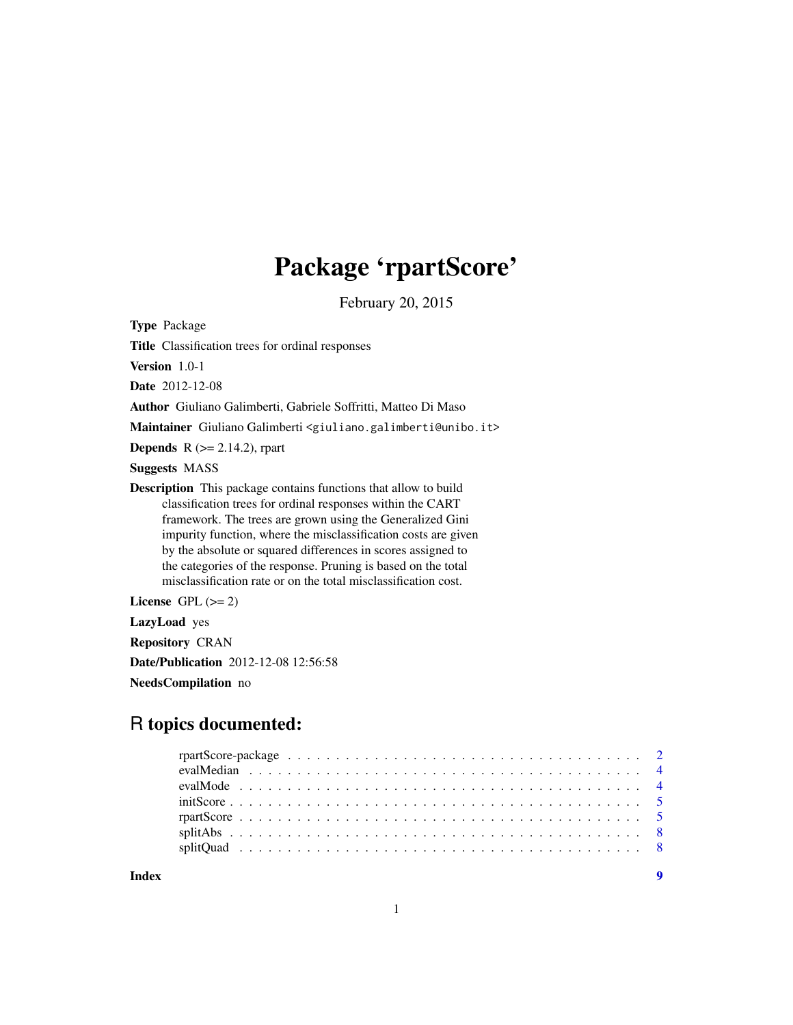## Package 'rpartScore'

February 20, 2015

<span id="page-0-0"></span>Type Package

Title Classification trees for ordinal responses

Version 1.0-1

Date 2012-12-08

Author Giuliano Galimberti, Gabriele Soffritti, Matteo Di Maso

Maintainer Giuliano Galimberti <giuliano.galimberti@unibo.it>

**Depends** R  $(>= 2.14.2)$ , rpart

Suggests MASS

Description This package contains functions that allow to build classification trees for ordinal responses within the CART framework. The trees are grown using the Generalized Gini impurity function, where the misclassification costs are given by the absolute or squared differences in scores assigned to the categories of the response. Pruning is based on the total misclassification rate or on the total misclassification cost.

License GPL  $(>= 2)$ 

LazyLoad yes

Repository CRAN

Date/Publication 2012-12-08 12:56:58

NeedsCompilation no

### R topics documented: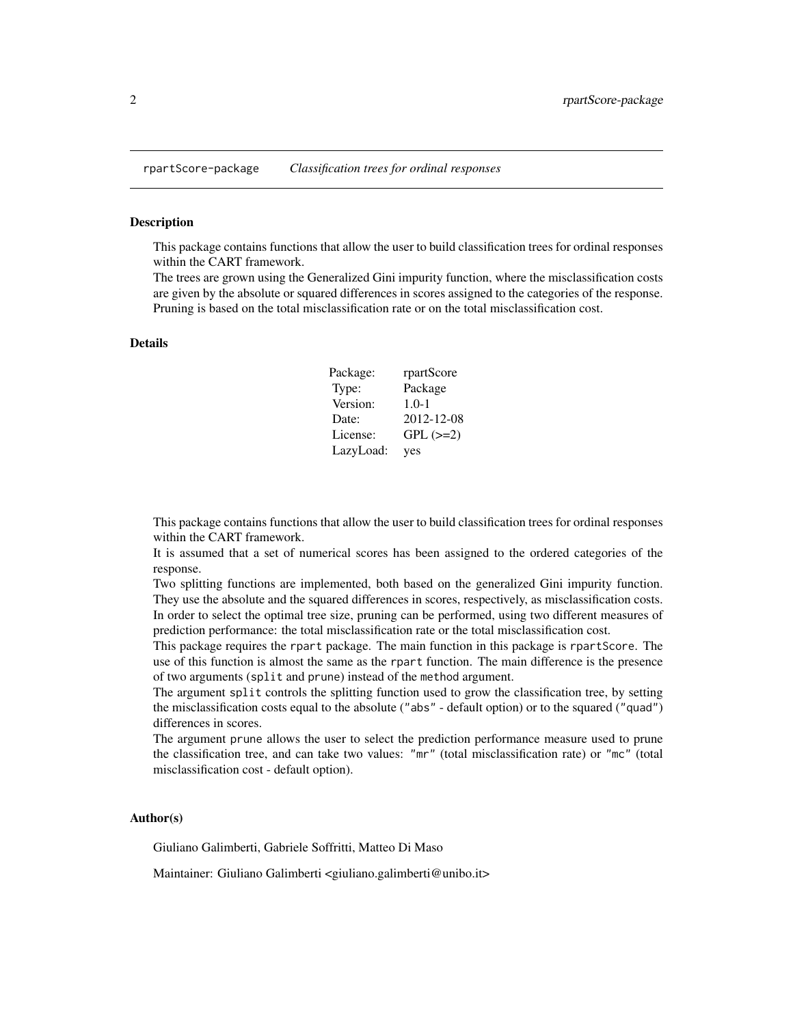<span id="page-1-0"></span>This package contains functions that allow the user to build classification trees for ordinal responses within the CART framework.

The trees are grown using the Generalized Gini impurity function, where the misclassification costs are given by the absolute or squared differences in scores assigned to the categories of the response. Pruning is based on the total misclassification rate or on the total misclassification cost.

#### Details

| Package:  | rpartScore    |
|-----------|---------------|
| Type:     | Package       |
| Version:  | $1.0 - 1$     |
| Date:     | 2012-12-08    |
| License:  | $GPL$ $(>=2)$ |
| LazyLoad: | yes           |

This package contains functions that allow the user to build classification trees for ordinal responses within the CART framework.

It is assumed that a set of numerical scores has been assigned to the ordered categories of the response.

Two splitting functions are implemented, both based on the generalized Gini impurity function. They use the absolute and the squared differences in scores, respectively, as misclassification costs. In order to select the optimal tree size, pruning can be performed, using two different measures of prediction performance: the total misclassification rate or the total misclassification cost.

This package requires the rpart package. The main function in this package is rpartScore. The use of this function is almost the same as the rpart function. The main difference is the presence of two arguments (split and prune) instead of the method argument.

The argument split controls the splitting function used to grow the classification tree, by setting the misclassification costs equal to the absolute ("abs" - default option) or to the squared ("quad") differences in scores.

The argument prune allows the user to select the prediction performance measure used to prune the classification tree, and can take two values: "mr" (total misclassification rate) or "mc" (total misclassification cost - default option).

#### Author(s)

Giuliano Galimberti, Gabriele Soffritti, Matteo Di Maso

Maintainer: Giuliano Galimberti <giuliano.galimberti@unibo.it>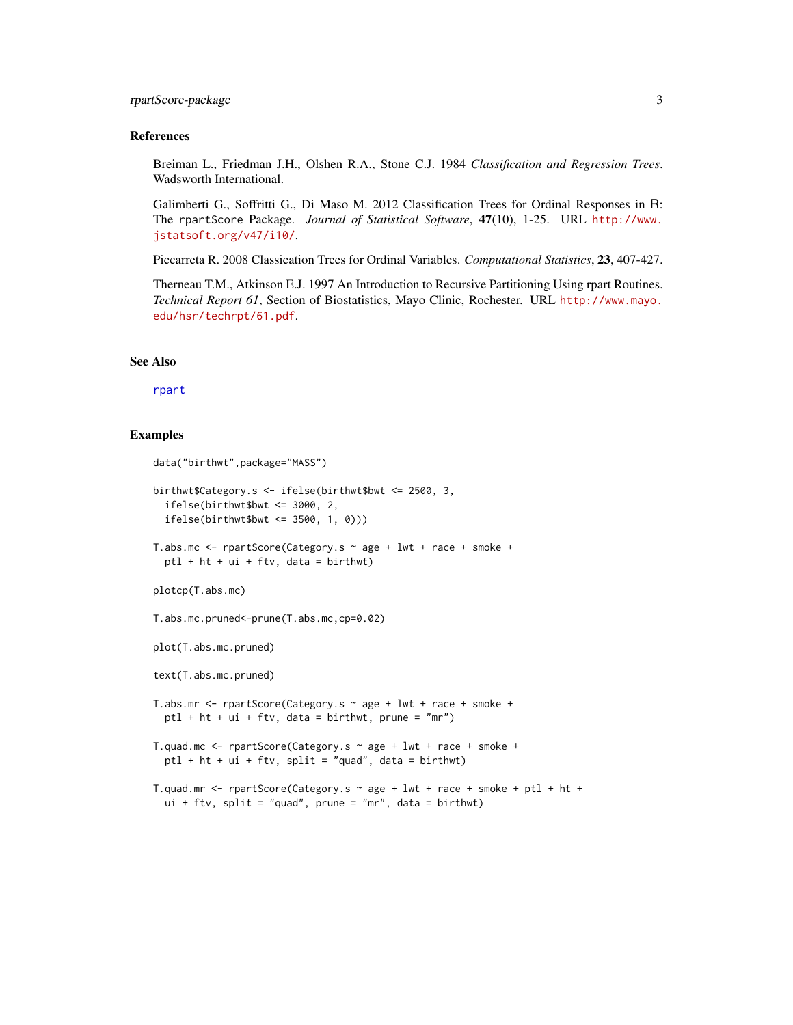#### <span id="page-2-0"></span>rpartScore-package 3

#### References

Breiman L., Friedman J.H., Olshen R.A., Stone C.J. 1984 *Classification and Regression Trees*. Wadsworth International.

Galimberti G., Soffritti G., Di Maso M. 2012 Classification Trees for Ordinal Responses in R: The rpartScore Package. *Journal of Statistical Software*, 47(10), 1-25. URL [http://www.](http://www.jstatsoft.org/v47/i10/) [jstatsoft.org/v47/i10/](http://www.jstatsoft.org/v47/i10/).

Piccarreta R. 2008 Classication Trees for Ordinal Variables. *Computational Statistics*, 23, 407-427.

Therneau T.M., Atkinson E.J. 1997 An Introduction to Recursive Partitioning Using rpart Routines. *Technical Report 61*, Section of Biostatistics, Mayo Clinic, Rochester. URL [http://www.mayo.](http://www.mayo.edu/hsr/techrpt/61.pdf) [edu/hsr/techrpt/61.pdf](http://www.mayo.edu/hsr/techrpt/61.pdf).

#### See Also

[rpart](#page-0-0)

#### Examples

```
data("birthwt",package="MASS")
birthwt$Category.s <- ifelse(birthwt$bwt <= 2500, 3,
  ifelse(birthwt$bwt <= 3000, 2,
  ifelse(birthwt$bwt <= 3500, 1, 0)))
T.abs.mc <- rpartScore(Category.s ~ age + lwt + race + smoke +
  ptl + ht + ui + ftv, data = birthwt)
plotcp(T.abs.mc)
T.abs.mc.pruned<-prune(T.abs.mc,cp=0.02)
plot(T.abs.mc.pruned)
text(T.abs.mc.pruned)
T.abs.mr <- rpartScore(Category.s ~ age + lwt + race + smoke +
  ptl + ht + ui + ftv, data = birthwt, prune = "mr")
T.quad.mc <- rpartScore(Category.s ~ age + lwt + race + smoke +
  ptl + ht + ui + ftv, split = "quad", data = birthwt)
T.quad.mr \le rpartScore(Category.s \sim age + lwt + race + smoke + ptl + ht +
  ui + ftv, split = "quad", prune = "mr", data = birthwt)
```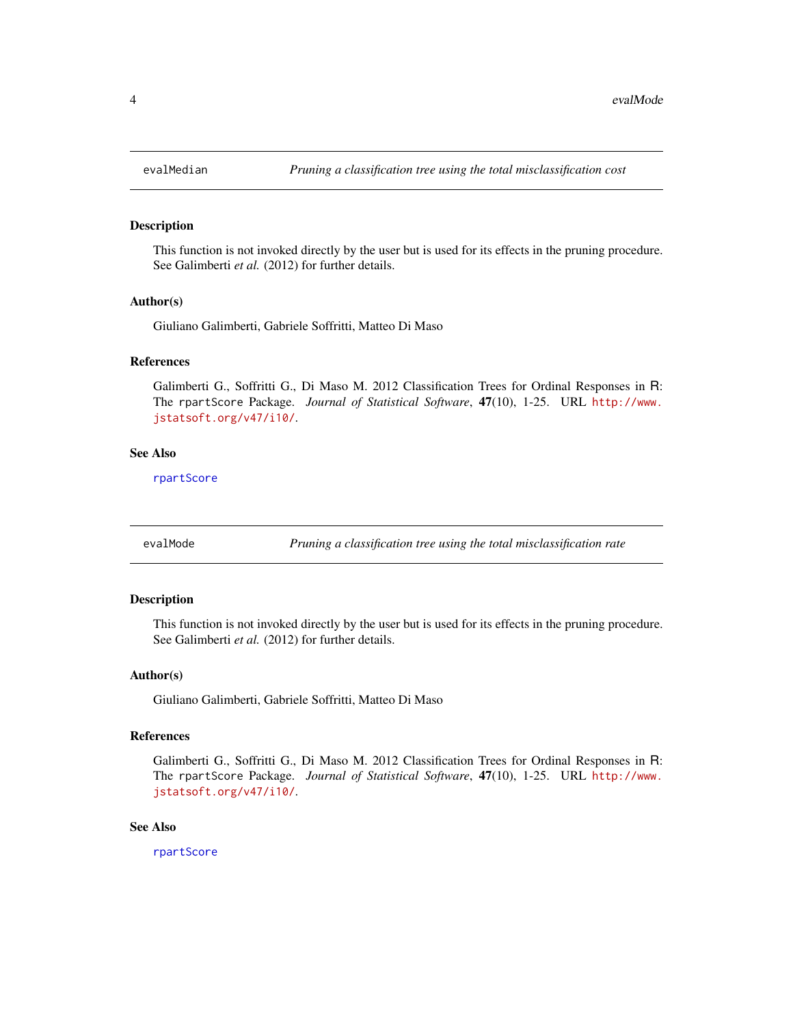<span id="page-3-0"></span>

This function is not invoked directly by the user but is used for its effects in the pruning procedure. See Galimberti *et al.* (2012) for further details.

#### Author(s)

Giuliano Galimberti, Gabriele Soffritti, Matteo Di Maso

#### References

Galimberti G., Soffritti G., Di Maso M. 2012 Classification Trees for Ordinal Responses in R: The rpartScore Package. *Journal of Statistical Software*, 47(10), 1-25. URL [http://www.](http://www.jstatsoft.org/v47/i10/) [jstatsoft.org/v47/i10/](http://www.jstatsoft.org/v47/i10/).

#### See Also

[rpartScore](#page-4-1)

evalMode *Pruning a classification tree using the total misclassification rate*

#### Description

This function is not invoked directly by the user but is used for its effects in the pruning procedure. See Galimberti *et al.* (2012) for further details.

#### Author(s)

Giuliano Galimberti, Gabriele Soffritti, Matteo Di Maso

#### References

Galimberti G., Soffritti G., Di Maso M. 2012 Classification Trees for Ordinal Responses in R: The rpartScore Package. *Journal of Statistical Software*, 47(10), 1-25. URL [http://www.](http://www.jstatsoft.org/v47/i10/) [jstatsoft.org/v47/i10/](http://www.jstatsoft.org/v47/i10/).

#### See Also

[rpartScore](#page-4-1)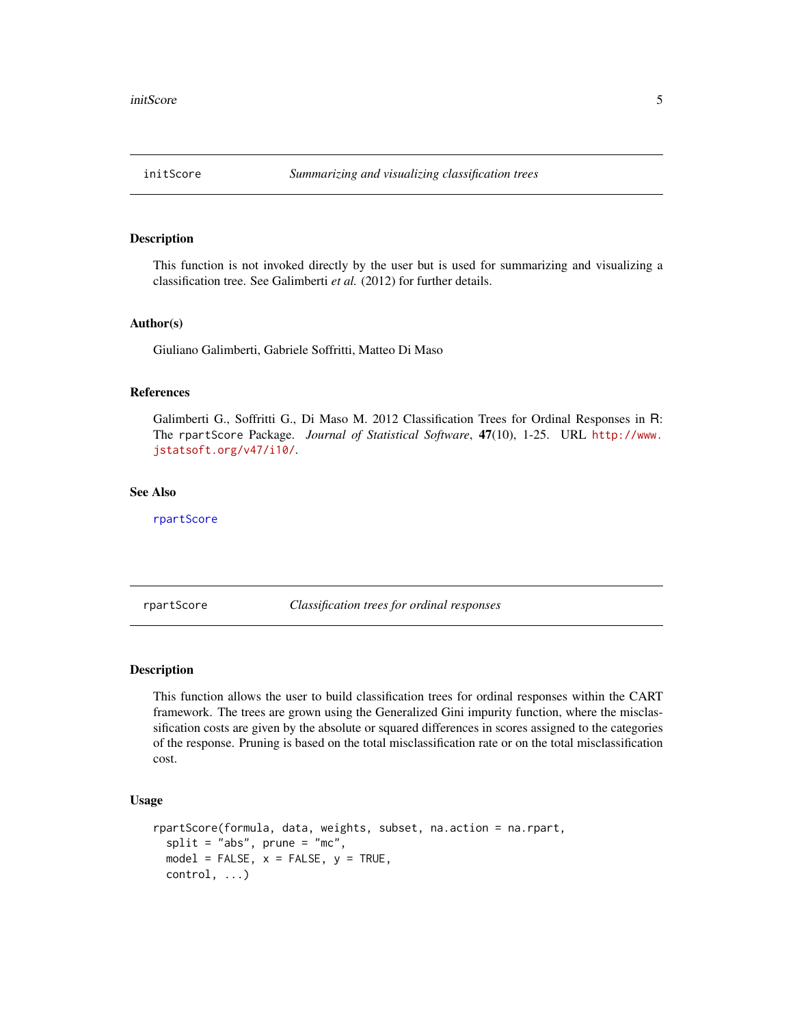<span id="page-4-0"></span>

This function is not invoked directly by the user but is used for summarizing and visualizing a classification tree. See Galimberti *et al.* (2012) for further details.

#### Author(s)

Giuliano Galimberti, Gabriele Soffritti, Matteo Di Maso

#### References

Galimberti G., Soffritti G., Di Maso M. 2012 Classification Trees for Ordinal Responses in R: The rpartScore Package. *Journal of Statistical Software*, 47(10), 1-25. URL [http://www.](http://www.jstatsoft.org/v47/i10/) [jstatsoft.org/v47/i10/](http://www.jstatsoft.org/v47/i10/).

#### See Also

[rpartScore](#page-4-1)

<span id="page-4-1"></span>rpartScore *Classification trees for ordinal responses*

#### Description

This function allows the user to build classification trees for ordinal responses within the CART framework. The trees are grown using the Generalized Gini impurity function, where the misclassification costs are given by the absolute or squared differences in scores assigned to the categories of the response. Pruning is based on the total misclassification rate or on the total misclassification cost.

#### Usage

```
rpartScore(formula, data, weights, subset, na.action = na.rpart,
  split = "abs", prime = "mc",model = FALSE, x = FALSE, y = TRUE,control, ...)
```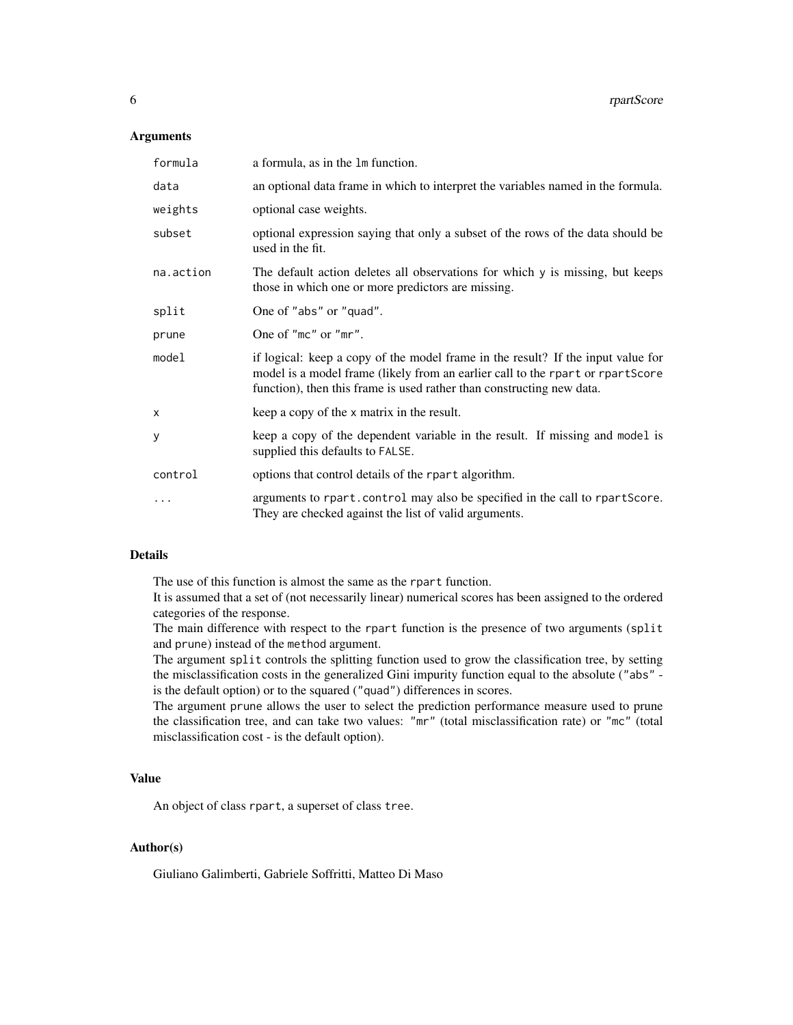#### Arguments

| formula   | a formula, as in the 1m function.                                                                                                                                                                                                           |
|-----------|---------------------------------------------------------------------------------------------------------------------------------------------------------------------------------------------------------------------------------------------|
| data      | an optional data frame in which to interpret the variables named in the formula.                                                                                                                                                            |
| weights   | optional case weights.                                                                                                                                                                                                                      |
| subset    | optional expression saying that only a subset of the rows of the data should be<br>used in the fit.                                                                                                                                         |
| na.action | The default action deletes all observations for which y is missing, but keeps<br>those in which one or more predictors are missing.                                                                                                         |
| split     | One of "abs" or "quad".                                                                                                                                                                                                                     |
| prune     | One of "mc" or "mr".                                                                                                                                                                                                                        |
| model     | if logical: keep a copy of the model frame in the result? If the input value for<br>model is a model frame (likely from an earlier call to the rpart or rpartScore<br>function), then this frame is used rather than constructing new data. |
| X         | keep a copy of the x matrix in the result.                                                                                                                                                                                                  |
| У         | keep a copy of the dependent variable in the result. If missing and model is<br>supplied this defaults to FALSE.                                                                                                                            |
| control   | options that control details of the rpart algorithm.                                                                                                                                                                                        |
| $\cdots$  | arguments to rpart.control may also be specified in the call to rpartScore.<br>They are checked against the list of valid arguments.                                                                                                        |

#### Details

The use of this function is almost the same as the rpart function.

It is assumed that a set of (not necessarily linear) numerical scores has been assigned to the ordered categories of the response.

The main difference with respect to the rpart function is the presence of two arguments (split and prune) instead of the method argument.

The argument split controls the splitting function used to grow the classification tree, by setting the misclassification costs in the generalized Gini impurity function equal to the absolute ("abs" is the default option) or to the squared ("quad") differences in scores.

The argument prune allows the user to select the prediction performance measure used to prune the classification tree, and can take two values: "mr" (total misclassification rate) or "mc" (total misclassification cost - is the default option).

#### Value

An object of class rpart, a superset of class tree.

#### Author(s)

Giuliano Galimberti, Gabriele Soffritti, Matteo Di Maso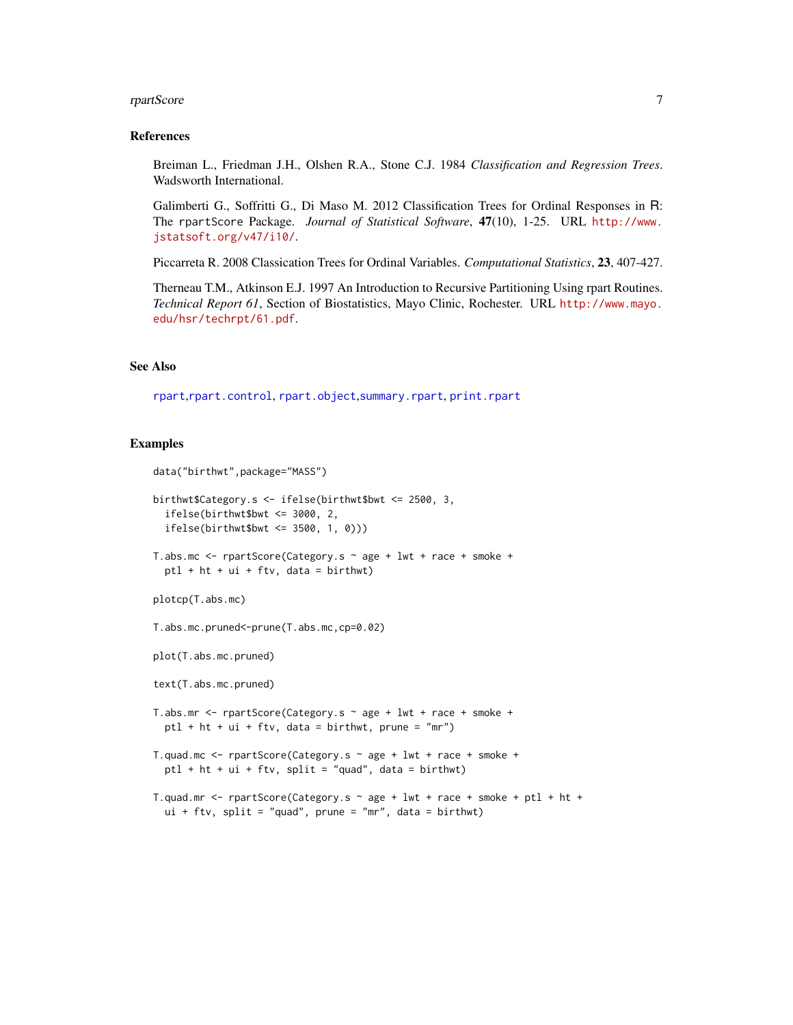#### <span id="page-6-0"></span>rpartScore 7 and 7 and 7 and 7 and 7 and 7 and 7 and 7 and 7 and 7 and 7 and 7 and 7 and 7 and 7 and 7 and 7 and 7 and 7 and 7 and 7 and 7 and 7 and 7 and 7 and 7 and 7 and 7 and 7 and 7 and 7 and 7 and 7 and 7 and 7 and 7

#### References

Breiman L., Friedman J.H., Olshen R.A., Stone C.J. 1984 *Classification and Regression Trees*. Wadsworth International.

Galimberti G., Soffritti G., Di Maso M. 2012 Classification Trees for Ordinal Responses in R: The rpartScore Package. *Journal of Statistical Software*, 47(10), 1-25. URL [http://www.](http://www.jstatsoft.org/v47/i10/) [jstatsoft.org/v47/i10/](http://www.jstatsoft.org/v47/i10/).

Piccarreta R. 2008 Classication Trees for Ordinal Variables. *Computational Statistics*, 23, 407-427.

Therneau T.M., Atkinson E.J. 1997 An Introduction to Recursive Partitioning Using rpart Routines. *Technical Report 61*, Section of Biostatistics, Mayo Clinic, Rochester. URL [http://www.mayo.](http://www.mayo.edu/hsr/techrpt/61.pdf) [edu/hsr/techrpt/61.pdf](http://www.mayo.edu/hsr/techrpt/61.pdf).

#### See Also

[rpart](#page-0-0),[rpart.control](#page-0-0), [rpart.object](#page-0-0),[summary.rpart](#page-0-0), [print.rpart](#page-0-0)

#### Examples

```
data("birthwt",package="MASS")
birthwt$Category.s <- ifelse(birthwt$bwt <= 2500, 3,
  ifelse(birthwt$bwt <= 3000, 2,
  ifelse(birthwt$bwt \leq 3500, 1, 0))T.abs.mc <- rpartScore(Category.s ~ age + lwt + race + smoke +
  ptl + ht + ui + ftv, data = birthwt)
plotcp(T.abs.mc)
T.abs.mc.pruned<-prune(T.abs.mc,cp=0.02)
plot(T.abs.mc.pruned)
text(T.abs.mc.pruned)
T.abs.mr <- rpartScore(Category.s ~ age + lwt + race + smoke +
  ptl + ht + ui + ftv, data = birthwt, prune = "mr")
T.quad.mc <- rpartScore(Category.s ~ age + lwt + race + smoke +
  ptl + ht + ui + ftv, split = "quad", data = birthwt)T.quad.mr <- rpartScore(Category.s \sim age + lwt + race + smoke + ptl + ht +
  ui + ftv, split = "quad", prune = "mr", data = birthwt)
```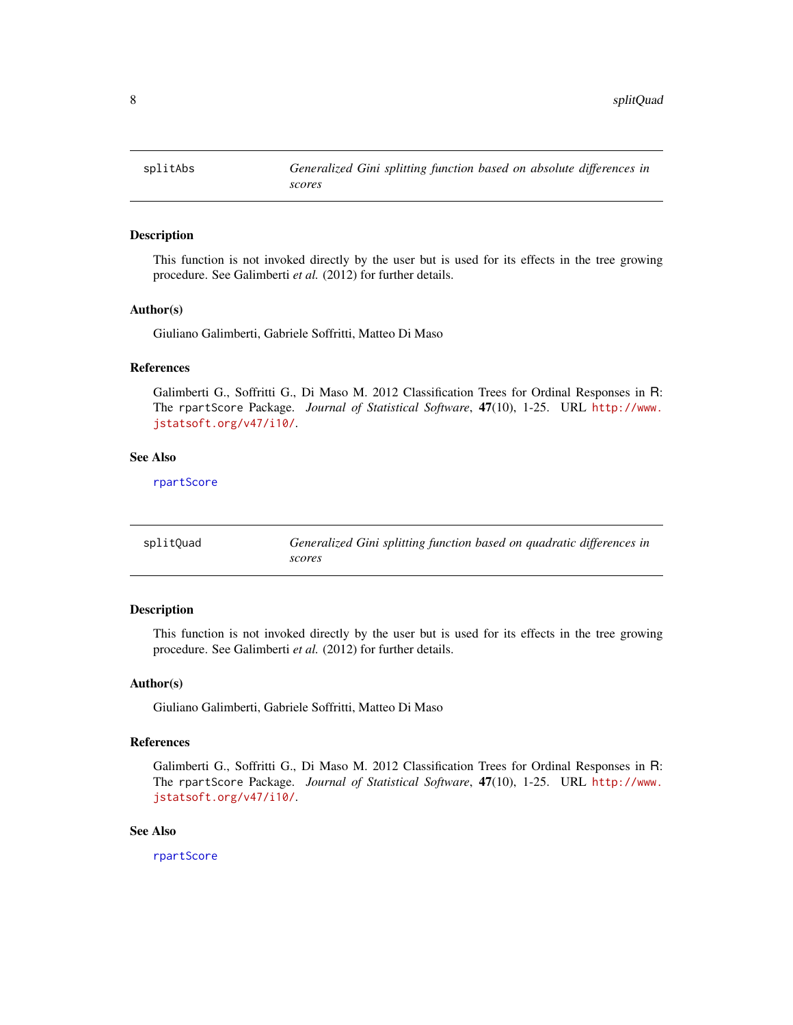<span id="page-7-0"></span>

This function is not invoked directly by the user but is used for its effects in the tree growing procedure. See Galimberti *et al.* (2012) for further details.

#### Author(s)

Giuliano Galimberti, Gabriele Soffritti, Matteo Di Maso

#### References

Galimberti G., Soffritti G., Di Maso M. 2012 Classification Trees for Ordinal Responses in R: The rpartScore Package. *Journal of Statistical Software*, 47(10), 1-25. URL [http://www.](http://www.jstatsoft.org/v47/i10/) [jstatsoft.org/v47/i10/](http://www.jstatsoft.org/v47/i10/).

#### See Also

[rpartScore](#page-4-1)

| splitQuad | Generalized Gini splitting function based on quadratic differences in |
|-----------|-----------------------------------------------------------------------|
|           | scores                                                                |

#### Description

This function is not invoked directly by the user but is used for its effects in the tree growing procedure. See Galimberti *et al.* (2012) for further details.

#### Author(s)

Giuliano Galimberti, Gabriele Soffritti, Matteo Di Maso

#### References

Galimberti G., Soffritti G., Di Maso M. 2012 Classification Trees for Ordinal Responses in R: The rpartScore Package. *Journal of Statistical Software*, 47(10), 1-25. URL [http://www.](http://www.jstatsoft.org/v47/i10/) [jstatsoft.org/v47/i10/](http://www.jstatsoft.org/v47/i10/).

#### See Also

[rpartScore](#page-4-1)